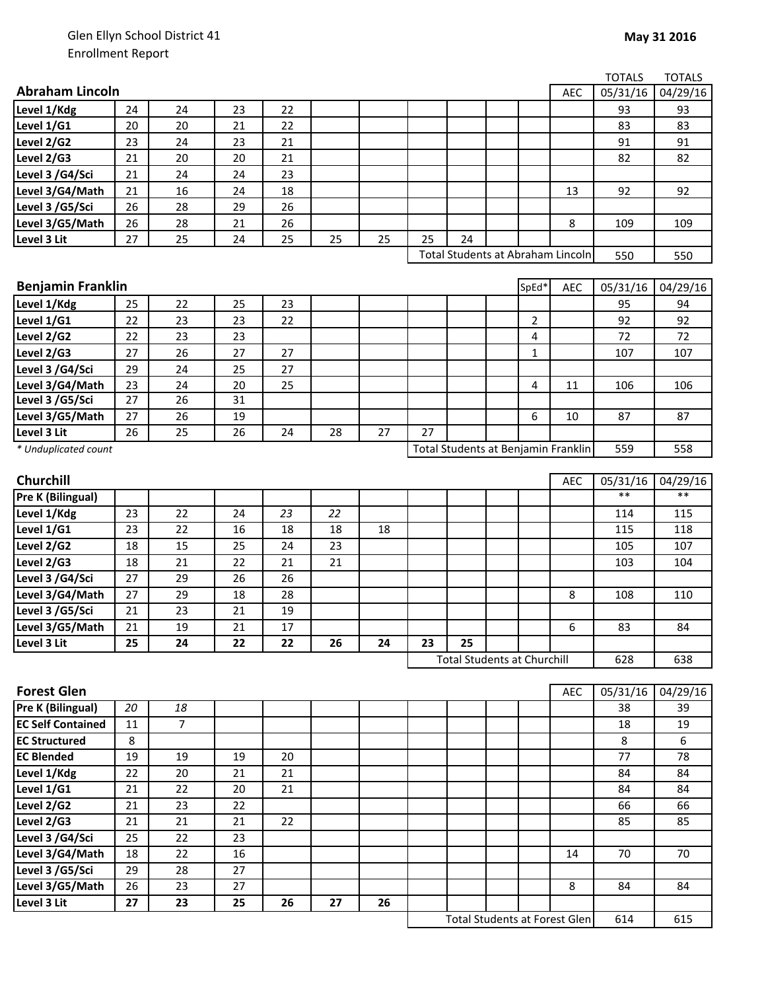|                                          |                 |                |    |    |    |    |    |                                     |  |       |            | <b>TOTALS</b> | <b>TOTALS</b> |
|------------------------------------------|-----------------|----------------|----|----|----|----|----|-------------------------------------|--|-------|------------|---------------|---------------|
| <b>Abraham Lincoln</b>                   |                 |                |    |    |    |    |    |                                     |  |       | <b>AEC</b> | 05/31/16      | 04/29/16      |
| Level 1/Kdg                              | 24              | 24             | 23 | 22 |    |    |    |                                     |  |       |            | 93            | 93            |
| Level 1/G1                               | 20              | 20             | 21 | 22 |    |    |    |                                     |  |       |            | 83            | 83            |
| Level 2/G2                               | 23              | 24             | 23 | 21 |    |    |    |                                     |  |       |            | 91            | 91            |
| Level 2/G3                               | 21              | 20             | 20 | 21 |    |    |    |                                     |  |       |            | 82            | 82            |
| Level 3 /G4/Sci                          | 21              | 24             | 24 | 23 |    |    |    |                                     |  |       |            |               |               |
| Level 3/G4/Math                          | 21              | 16             | 24 | 18 |    |    |    |                                     |  |       | 13         | 92            | 92            |
| Level 3 /G5/Sci                          | 26              | 28             | 29 | 26 |    |    |    |                                     |  |       |            |               |               |
| Level 3/G5/Math                          | 26              | 28             | 21 | 26 |    |    |    |                                     |  |       | 8          | 109           | 109           |
| Level 3 Lit                              | 27              | 25             | 24 | 25 | 25 | 25 | 25 | 24                                  |  |       |            |               |               |
| Total Students at Abraham Lincoln<br>550 |                 |                |    |    |    |    |    |                                     |  | 550   |            |               |               |
|                                          |                 |                |    |    |    |    |    |                                     |  |       |            |               |               |
| <b>Benjamin Franklin</b>                 |                 |                |    |    |    |    |    |                                     |  | SpEd* | <b>AEC</b> | 05/31/16      | 04/29/16      |
| Level 1/Kdg                              | 25              | 22             | 25 | 23 |    |    |    |                                     |  |       |            | 95            | 94            |
| Level 1/G1                               | 22              | 23             | 23 | 22 |    |    |    |                                     |  | 2     |            | 92            | 92            |
| Level 2/G2                               | 22              | 23             | 23 |    |    |    |    |                                     |  | 4     |            | 72            | 72            |
| Level 2/G3                               | 27              | 26             | 27 | 27 |    |    |    |                                     |  | 1     |            | 107           | 107           |
| Level 3 /G4/Sci                          | 29              | 24             | 25 | 27 |    |    |    |                                     |  |       |            |               |               |
| Level 3/G4/Math                          | 23              | 24             | 20 | 25 |    |    |    |                                     |  | 4     | 11         | 106           | 106           |
| Level 3 /G5/Sci                          | $\overline{27}$ | 26             | 31 |    |    |    |    |                                     |  |       |            |               |               |
| Level 3/G5/Math                          | 27              | 26             | 19 |    |    |    |    |                                     |  | 6     | 10         | 87            | 87            |
| Level 3 Lit                              | 26              | 25             | 26 | 24 | 28 | 27 | 27 |                                     |  |       |            |               |               |
| * Unduplicated count                     |                 |                |    |    |    |    |    | Total Students at Benjamin Franklin |  |       |            | 559           | 558           |
|                                          |                 |                |    |    |    |    |    |                                     |  |       |            |               |               |
| Churchill                                |                 |                |    |    |    |    |    |                                     |  |       | <b>AEC</b> | 05/31/16      | 04/29/16      |
| Pre K (Bilingual)                        |                 |                |    |    |    |    |    |                                     |  |       |            | $***$         | $***$         |
| Level 1/Kdg                              | 23              | 22             | 24 | 23 | 22 |    |    |                                     |  |       |            | 114           | 115           |
| Level 1/G1                               | 23              | 22             | 16 | 18 | 18 | 18 |    |                                     |  |       |            | 115           | 118           |
| Level 2/G2                               | 18              | 15             | 25 | 24 | 23 |    |    |                                     |  |       |            | 105           | 107           |
| Level 2/G3                               | 18              | 21             | 22 | 21 | 21 |    |    |                                     |  |       |            | 103           | 104           |
| Level 3 /G4/Sci                          | 27              | 29             | 26 | 26 |    |    |    |                                     |  |       |            |               |               |
| Level 3/G4/Math                          | 27              | 29             | 18 | 28 |    |    |    |                                     |  |       | 8          | 108           | 110           |
| Level 3 /G5/Sci                          | 21              | 23             | 21 | 19 |    |    |    |                                     |  |       |            |               |               |
| Level 3/G5/Math                          | 21              | 19             | 21 | 17 |    |    |    |                                     |  |       | 6          | 83            | 84            |
| Level 3 Lit                              | 25              | 24             | 22 | 22 | 26 | 24 | 23 | 25                                  |  |       |            |               |               |
|                                          |                 |                |    |    |    |    |    | <b>Total Students at Churchill</b>  |  |       |            | 628           | 638           |
|                                          |                 |                |    |    |    |    |    |                                     |  |       |            |               |               |
| <b>Forest Glen</b>                       |                 |                |    |    |    |    |    |                                     |  |       | <b>AEC</b> | 05/31/16      | 04/29/16      |
| Pre K (Bilingual)                        | 20              | 18             |    |    |    |    |    |                                     |  |       |            | 38            | 39            |
| <b>EC Self Contained</b>                 | 11              | $\overline{7}$ |    |    |    |    |    |                                     |  |       |            | 18            | 19            |
| <b>EC Structured</b>                     | 8               |                |    |    |    |    |    |                                     |  |       |            | 8             | 6             |
| <b>EC Blended</b>                        | 19              | 19             | 19 | 20 |    |    |    |                                     |  |       |            | 77            | 78            |
| Level 1/Kdg                              | 22              | 20             | 21 | 21 |    |    |    |                                     |  |       |            | 84            | 84            |
| Level 1/G1                               | 21              | 22             | 20 | 21 |    |    |    |                                     |  |       |            | 84            | 84            |
| Level 2/G2                               | 21              | 23             | 22 |    |    |    |    |                                     |  |       |            | 66            | 66            |
| Level 2/G3                               | 21              | 21             | 21 | 22 |    |    |    |                                     |  |       |            | 85            | 85            |
| Level 3 /G4/Sci                          | 25              | 22             | 23 |    |    |    |    |                                     |  |       |            |               |               |
| Level 3/G4/Math                          | 18              | 22             | 16 |    |    |    |    |                                     |  |       | 14         | 70            | 70            |
| Level 3 /G5/Sci                          | 29              | 28             | 27 |    |    |    |    |                                     |  |       |            |               |               |
| Level 3/G5/Math                          | 26              | 23             | 27 |    |    |    |    |                                     |  |       | 8          | 84            | 84            |
| Level 3 Lit                              | $27\,$          | 23             | 25 | 26 | 27 | 26 |    |                                     |  |       |            |               |               |

614 615 Total Students at Forest Glen